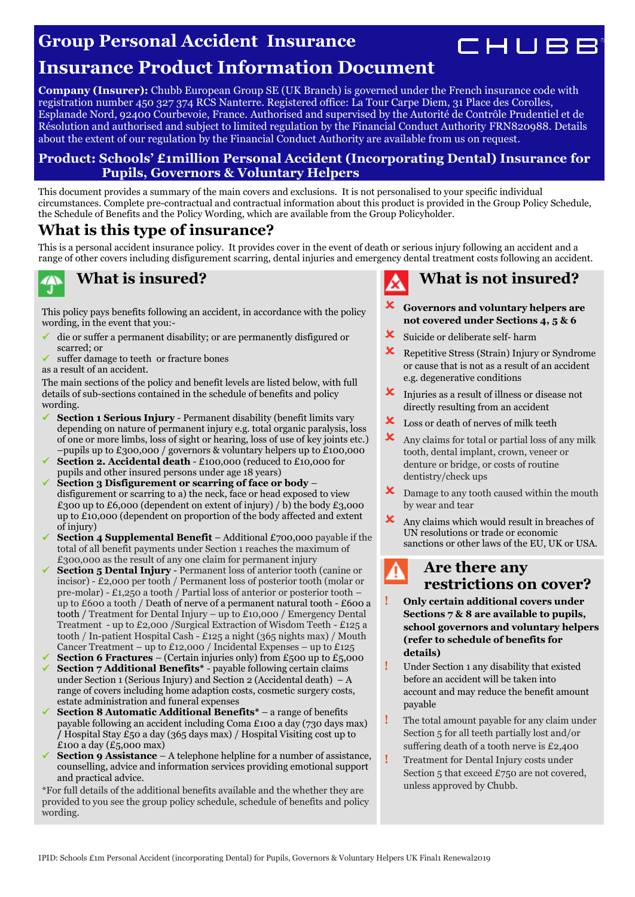### **Group Personal Accident Insurance**



## **Insurance Product Information Document**

**Company (Insurer):** Chubb European Group SE (UK Branch) is governed under the French insurance code with registration number 450 327 374 RCS Nanterre. Registered office: La Tour Carpe Diem, 31 Place des Corolles, Esplanade Nord, 92400 Courbevoie, France. Authorised and supervised by the Autorité de Contrôle Prudentiel et de Résolution and authorised and subject to limited regulation by the Financial Conduct Authority FRN820988. Details about the extent of our regulation by the Financial Conduct Authority are available from us on request.

#### **Product: Schools' £1million Personal Accident (Incorporating Dental) Insurance for Pupils, Governors & Voluntary Helpers**

This document provides a summary of the main covers and exclusions. It is not personalised to your specific individual circumstances. Complete pre-contractual and contractual information about this product is provided in the Group Policy Schedule, the Schedule of Benefits and the Policy Wording, which are available from the Group Policyholder.

### **What is this type of insurance?**

This is a personal accident insurance policy. It provides cover in the event of death or serious injury following an accident and a range of other covers including disfigurement scarring, dental injuries and emergency dental treatment costs following an accident.



#### **What is insured?**

This policy pays benefits following an accident, in accordance with the policy wording, in the event that you:-

- die or suffer a permanent disability; or are permanently disfigured or scarred; or
- suffer damage to teeth or fracture bones

as a result of an accident.

The main sections of the policy and benefit levels are listed below, with full details of sub-sections contained in the schedule of benefits and policy wording.

- **Section 1 Serious Injury**  Permanent disability (benefit limits vary depending on nature of permanent injury e.g. total organic paralysis, loss of one or more limbs, loss of sight or hearing, loss of use of key joints etc.) –pupils up to £300,000 / governors & voluntary helpers up to £100,000
- **Section 2. Accidental death** £100,000 (reduced to £10,000 for pupils and other insured persons under age 18 years)
- **Section 3 Disfigurement or scarring of face or body**  disfigurement or scarring to a) the neck, face or head exposed to view £300 up to £6,000 (dependent on extent of injury) / b) the body £3,000 up to £10,000 (dependent on proportion of the body affected and extent of injury)
- **Section 4 Supplemental Benefit** Additional £700,000 payable if the total of all benefit payments under Section 1 reaches the maximum of £300,000 as the result of any one claim for permanent injury
- **Section 5 Dental Injury** Permanent loss of anterior tooth (canine or incisor) - £2,000 per tooth / Permanent loss of posterior tooth (molar or pre-molar) - £1,250 a tooth / Partial loss of anterior or posterior tooth – up to £600 a tooth / Death of nerve of a permanent natural tooth - £600 a tooth / Treatment for Dental Injury – up to £10,000 / Emergency Dental Treatment - up to £2,000 /Surgical Extraction of Wisdom Teeth - £125 a tooth / In-patient Hospital Cash - £125 a night (365 nights max) / Mouth Cancer Treatment – up to £12,000 / Incidental Expenses – up to £125
- **Section 6 Fractures** (Certain injuries only) from £500 up to £5,000 **Section 7 Additional Benefits\*** - payable following certain claims under Section 1 (Serious Injury) and Section 2 (Accidental death)  $-A$ range of covers including home adaption costs, cosmetic surgery costs, estate administration and funeral expenses
- **Section 8 Automatic Additional Benefits\*** a range of benefits payable following an accident including Coma £100 a day (730 days max) **/** Hospital Stay £50 a day (365 days max) / Hospital Visiting cost up to £100 a day  $(E5,000 \text{ max})$
- **Section 9 Assistance** A telephone helpline for a number of assistance, counselling, advice and information services providing emotional support and practical advice.

\*For full details of the additional benefits available and the whether they are provided to you see the group policy schedule, schedule of benefits and policy wording.



- **Governors and voluntary helpers are not covered under Sections 4, 5 & 6**
- Suicide or deliberate self- harm
- Repetitive Stress (Strain) Injury or Syndrome or cause that is not as a result of an accident e.g. degenerative conditions
- **X** Injuries as a result of illness or disease not directly resulting from an accident
- **x** Loss or death of nerves of milk teeth
- **X** Any claims for total or partial loss of any milk tooth, dental implant, crown, veneer or denture or bridge, or costs of routine dentistry/check ups
- **X** Damage to any tooth caused within the mouth by wear and tear
- Any claims which would result in breaches of UN resolutions or trade or economic sanctions or other laws of the EU, UK or USA.

### **Are there any restrictions on cover?**

- **! Only certain additional covers under Sections 7 & 8 are available to pupils, school governors and voluntary helpers (refer to schedule of benefits for details)**
- **!** Under Section 1 any disability that existed before an accident will be taken into account and may reduce the benefit amount payable
- **!** The total amount payable for any claim under Section 5 for all teeth partially lost and/or suffering death of a tooth nerve is £2,400
- **!** Treatment for Dental Injury costs under Section 5 that exceed £750 are not covered, unless approved by Chubb.